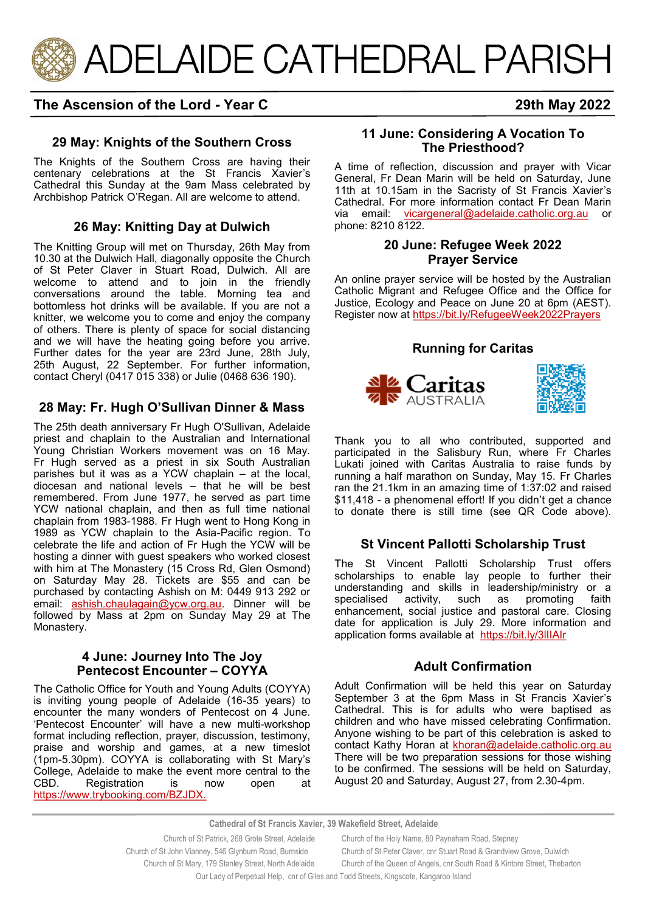

# **The Ascension of the Lord - Year C 29th May 2022**

# **29 May: Knights of the Southern Cross**

The Knights of the Southern Cross are having their centenary celebrations at the St Francis Xavier's Cathedral this Sunday at the 9am Mass celebrated by Archbishop Patrick O'Regan. All are welcome to attend.

# **26 May: Knitting Day at Dulwich**

The Knitting Group will met on Thursday, 26th May from 10.30 at the Dulwich Hall, diagonally opposite the Church of St Peter Claver in Stuart Road, Dulwich. All are welcome to attend and to join in the friendly conversations around the table. Morning tea and bottomless hot drinks will be available. If you are not a knitter, we welcome you to come and enjoy the company of others. There is plenty of space for social distancing and we will have the heating going before you arrive. Further dates for the year are 23rd June, 28th July, 25th August, 22 September. For further information, contact Cheryl (0417 015 338) or Julie (0468 636 190).

# **28 May: Fr. Hugh O'Sullivan Dinner & Mass**

The 25th death anniversary Fr Hugh O'Sullivan, Adelaide priest and chaplain to the Australian and International Young Christian Workers movement was on 16 May. Fr Hugh served as a priest in six South Australian parishes but it was as a YCW chaplain – at the local, diocesan and national levels – that he will be best remembered. From June 1977, he served as part time YCW national chaplain, and then as full time national chaplain from 1983-1988. Fr Hugh went to Hong Kong in 1989 as YCW chaplain to the Asia-Pacific region. To celebrate the life and action of Fr Hugh the YCW will be hosting a dinner with guest speakers who worked closest with him at The Monastery (15 Cross Rd, Glen Osmond) on Saturday May 28. Tickets are \$55 and can be purchased by contacting Ashish on M: 0449 913 292 or email: [ashish.chaulagain@ycw.org.au.](mailto:ashish.chaulagain@ycw.org.au) Dinner will be followed by Mass at 2pm on Sunday May 29 at The Monastery.

#### **4 June: Journey Into The Joy Pentecost Encounter – COYYA**

The Catholic Office for Youth and Young Adults (COYYA) is inviting young people of Adelaide (16-35 years) to encounter the many wonders of Pentecost on 4 June. 'Pentecost Encounter' will have a new multi-workshop format including reflection, prayer, discussion, testimony, praise and worship and games, at a new timeslot (1pm-5.30pm). COYYA is collaborating with St Mary's College, Adelaide to make the event more central to the CBD. Registration is now open at [https://www.trybooking.com/BZJDX.](https://aus01.safelinks.protection.outlook.com/?url=https%3A%2F%2Fwww.trybooking.com%2FBZJDX&data=05%7C01%7CCco-Reception%40adelaide.catholic.org.au%7C3768892bd32343fd910608da314fec66%7Cfe51d108d61d407cbcaaaab5af82a7ac%7C1%7C0%7C637876516609261073%7CUnknown%7)

### **11 June: Considering A Vocation To The Priesthood?**

A time of reflection, discussion and prayer with Vicar General, Fr Dean Marin will be held on Saturday, June 11th at 10.15am in the Sacristy of St Francis Xavier's Cathedral. For more information contact Fr Dean Marin via email: [vicargeneral@adelaide.catholic.org.au](mailto:vicargeneral@adelaide.catholic.org.au) or phone: 8210 8122.

### **20 June: Refugee Week 2022 Prayer Service**

An online prayer service will be hosted by the Australian Catholic Migrant and Refugee Office and the Office for Justice, Ecology and Peace on June 20 at 6pm (AEST). Register now at<https://bit.ly/RefugeeWeek2022Prayers>

### **Running for Caritas**





Thank you to all who contributed, supported and participated in the Salisbury Run, where Fr Charles Lukati joined with Caritas Australia to raise funds by running a half marathon on Sunday, May 15. Fr Charles ran the 21.1km in an amazing time of 1:37:02 and raised \$11,418 - a phenomenal effort! If you didn't get a chance to donate there is still time (see QR Code above).

# **St Vincent Pallotti Scholarship Trust**

The St Vincent Pallotti Scholarship Trust offers scholarships to enable lay people to further their understanding and skills in leadership/ministry or a specialised activity, such as promoting faith enhancement, social justice and pastoral care. Closing date for application is July 29. More information and application forms available at https://bit.ly/3llIAIr

### **Adult Confirmation**

Adult Confirmation will be held this year on Saturday September 3 at the 6pm Mass in St Francis Xavier's Cathedral. This is for adults who were baptised as children and who have missed celebrating Confirmation. Anyone wishing to be part of this celebration is asked to contact Kathy Horan at khoran@adelaide.catholic.org.au There will be two preparation sessions for those wishing to be confirmed. The sessions will be held on Saturday, August 20 and Saturday, August 27, from 2.30-4pm.

**Cathedral of St Francis Xavier, 39 Wakefield Street, Adelaide**

 Church of St Patrick, 268 Grote Street, Adelaide Church of the Holy Name, 80 Payneham Road, Stepney Church of St John Vianney, 546 Glynburn Road, Burnside Church of St Peter Claver, cnr Stuart Road & Grandview Grove, Dulwich Church of St Mary, 179 Stanley Street, North Adelaide Church of the Queen of Angels, cnr South Road & Kintore Street, Thebarton Our Lady of Perpetual Help, cnr of Giles and Todd Streets, Kingscote, Kangaroo Island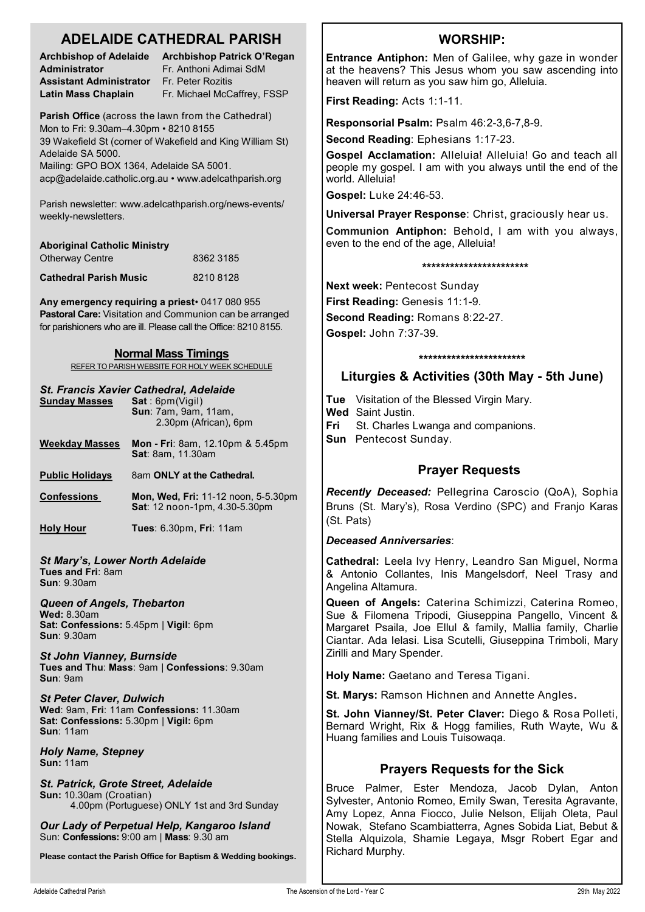# **ADELAIDE CATHEDRAL PARISH**

**Administrator** Fr. Anthoni Adimai SdM **Assistant Administrator** Fr. Peter Rozitis

**Archbishop of Adelaide Archbishop Patrick O'Regan Latin Mass Chaplain** Fr. Michael McCaffrey, FSSP

**Parish Office** (across the lawn from the Cathedral) Mon to Fri: 9.30am–4.30pm • 8210 8155 39 Wakefield St (corner of Wakefield and King William St) Adelaide SA 5000.

Mailing: GPO BOX 1364, Adelaide SA 5001. acp@adelaide.catholic.org.au • www.adelcathparish.org

Parish newsletter: www.adelcathparish.org/news-events/ weekly-newsletters.

| <b>Aboriginal Catholic Ministry</b> |           |
|-------------------------------------|-----------|
| <b>Otherway Centre</b>              | 8362 3185 |
| <b>Cathedral Parish Music</b>       | 82108128  |

**Any emergency requiring a priest**• 0417 080 955 **Pastoral Care:** Visitation and Communion can be arranged for parishioners who are ill. Please call the Office: 8210 8155.

#### **Normal Mass Timings**

REFER TO PARISH WEBSITE FOR HOLY WEEK SCHEDULE

#### *St. Francis Xavier Cathedral, Adelaide*

| <b>Sunday Masses</b>   | Sat:6pm(Vigil)<br><b>Sun: 7am, 9am, 11am,</b><br>2.30pm (African), 6pm             |
|------------------------|------------------------------------------------------------------------------------|
| <b>Weekday Masses</b>  | <b>Mon - Fri</b> : 8am, 12.10pm & 5.45pm<br><b>Sat: 8am. 11.30am</b>               |
| <b>Public Holidays</b> | 8am ONLY at the Cathedral.                                                         |
| <b>Confessions</b>     | <b>Mon, Wed, Fri: 11-12 noon, 5-5.30pm</b><br><b>Sat:</b> 12 noon-1pm, 4.30-5.30pm |
| <b>Holy Hour</b>       | Tues: 6.30pm, Fri: 11am                                                            |
|                        |                                                                                    |

*St Mary's, Lower North Adelaide* **Tues and Fri**: 8am **Sun**: 9.30am

*Queen of Angels, Thebarton* **Wed:** 8.30am

**Sat: Confessions:** 5.45pm | **Vigil**: 6pm **Sun**: 9.30am

*St John Vianney, Burnside* **Tues and Thu**: **Mass**: 9am | **Confessions**: 9.30am **Sun**: 9am

*St Peter Claver, Dulwich* **Wed**: 9am, **Fri**: 11am **Confessions:** 11.30am **Sat: Confessions:** 5.30pm | **Vigil:** 6pm **Sun**: 11am

*Holy Name, Stepney* **Sun:** 11am

*St. Patrick, Grote Street, Adelaide* **Sun:** 10.30am (Croatian) 4.00pm (Portuguese) ONLY 1st and 3rd Sunday

*Our Lady of Perpetual Help, Kangaroo Island* Sun: **Confessions:** 9:00 am | **Mass**: 9.30 am

**Please contact the Parish Office for Baptism & Wedding bookings.**

# **WORSHIP:**

**Entrance Antiphon:** Men of Galilee, why gaze in wonder at the heavens? This Jesus whom you saw ascending into heaven will return as you saw him go, Alleluia.

**First Reading:** Acts 1:1-11.

**Responsorial Psalm:** Psalm 46:2-3,6-7,8-9.

**Second Reading**: Ephesians 1:17-23.

**Gospel Acclamation:** Alleluia! Alleluia! Go and teach all people my gospel. I am with you always until the end of the world. Alleluia!

**Gospel:** Luke 24:46-53.

**Universal Prayer Response**: Christ, graciously hear us.

**Communion Antiphon:** Behold, I am with you always, even to the end of the age, Alleluia!

**\*\*\*\*\*\*\*\*\*\*\*\*\*\*\*\*\*\*\*\*\*\*\***

**Next week:** Pentecost Sunday

**First Reading:** Genesis 11:1-9.

**Second Reading:** Romans 8:22-27.

**Gospel:** John 7:37-39.

#### **\*\*\*\*\*\*\*\*\*\*\*\*\*\*\*\*\*\*\*\*\*\*\***

# **Liturgies & Activities (30th May - 5th June)**

**Tue** Visitation of the Blessed Virgin Mary.

**Wed** Saint Justin. **Fri** St. Charles Lwanga and companions.

**Sun** Pentecost Sunday.

# **Prayer Requests**

*Recently Deceased:* Pellegrina Caroscio (QoA), Sophia Bruns (St. Mary's), Rosa Verdino (SPC) and Franjo Karas (St. Pats)

#### *Deceased Anniversaries*:

**Cathedral:** Leela Ivy Henry, Leandro San Miguel, Norma & Antonio Collantes, Inis Mangelsdorf, Neel Trasy and Angelina Altamura.

**Queen of Angels:** Caterina Schimizzi, Caterina Romeo, Sue & Filomena Tripodi, Giuseppina Pangello, Vincent & Margaret Psaila, Joe Ellul & family, Mallia family, Charlie Ciantar. Ada Ielasi. Lisa Scutelli, Giuseppina Trimboli, Mary Zirilli and Mary Spender.

**Holy Name:** Gaetano and Teresa Tigani.

**St. Marys:** Ramson Hichnen and Annette Angles**.**

**St. John Vianney/St. Peter Claver:** Diego & Rosa Polleti, Bernard Wright, Rix & Hogg families, Ruth Wayte, Wu & Huang families and Louis Tuisowaqa.

# **Prayers Requests for the Sick**

Bruce Palmer, Ester Mendoza, Jacob Dylan, Anton Sylvester, Antonio Romeo, Emily Swan, Teresita Agravante, Amy Lopez, Anna Fiocco, Julie Nelson, Elijah Oleta, Paul Nowak, Stefano Scambiatterra, Agnes Sobida Liat, Bebut & Stella Alguizola, Shamie Legaya, Msgr Robert Egar and Richard Murphy.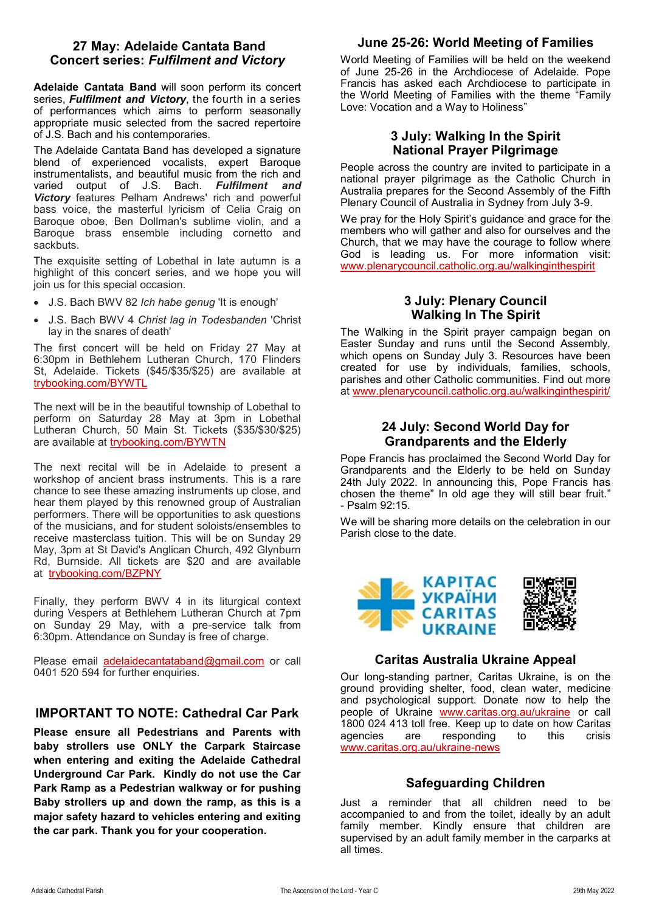### **27 May: Adelaide Cantata Band Concert series:** *Fulfilment and Victory*

**Adelaide Cantata Band** will soon perform its concert series, *Fulfilment and Victory*, the fourth in a series of performances which aims to perform seasonally appropriate music selected from the sacred repertoire of J.S. Bach and his contemporaries.

The Adelaide Cantata Band has developed a signature blend of experienced vocalists, expert Baroque instrumentalists, and beautiful music from the rich and varied output of J.S. Bach. *Fulfilment and Victory* features Pelham Andrews' rich and powerful bass voice, the masterful lyricism of Celia Craig on Baroque oboe, Ben Dollman's sublime violin, and a Baroque brass ensemble including cornetto and sackbuts.

The exquisite setting of Lobethal in late autumn is a highlight of this concert series, and we hope you will join us for this special occasion.

- J.S. Bach BWV 82 *Ich habe genug* 'It is enough'
- J.S. Bach BWV 4 *Christ lag in Todesbanden* 'Christ lay in the snares of death'

The first concert will be held on Friday 27 May at 6:30pm in Bethlehem Lutheran Church, 170 Flinders St, Adelaide. Tickets (\$45/\$35/\$25) are available at [trybooking.com/BYWTL](https://aus01.safelinks.protection.outlook.com/?url=http%3A%2F%2Ftrybooking.com%2FBYWTL&data=05%7C01%7Cacp%40acp.adelaide.catholic.org.au%7C671e70a3f2004f36bb1f08da374aae74%7Cfe51d108d61d407cbcaaaab5af82a7ac%7C1%7C0%7C637883091180265857%7CUnknown%7CTWFpbGZsb3)

The next will be in the beautiful township of Lobethal to perform on Saturday 28 May at 3pm in Lobethal Lutheran Church, 50 Main St. Tickets (\$35/\$30/\$25) are available at [trybooking.com/BYWTN](https://aus01.safelinks.protection.outlook.com/?url=http%3A%2F%2Ftrybooking.com%2FBYWTN&data=05%7C01%7Cacp%40acp.adelaide.catholic.org.au%7C671e70a3f2004f36bb1f08da374aae74%7Cfe51d108d61d407cbcaaaab5af82a7ac%7C1%7C0%7C637883091180265857%7CUnknown%7CTWFpbGZsb3)

The next recital will be in Adelaide to present a workshop of ancient brass instruments. This is a rare chance to see these amazing instruments up close, and hear them played by this renowned group of Australian performers. There will be opportunities to ask questions of the musicians, and for student soloists/ensembles to receive masterclass tuition. This will be on Sunday 29 May, 3pm at St David's Anglican Church, 492 Glynburn Rd, Burnside. All tickets are \$20 and are available at [trybooking.com/BZPNY](https://aus01.safelinks.protection.outlook.com/?url=http%3A%2F%2Ftrybooking.com%2FBZPNY&data=05%7C01%7Cacp%40acp.adelaide.catholic.org.au%7C671e70a3f2004f36bb1f08da374aae74%7Cfe51d108d61d407cbcaaaab5af82a7ac%7C1%7C0%7C637883091180265857%7CUnknown%7CTWFpbGZsb3)

Finally, they perform BWV 4 in its liturgical context during Vespers at Bethlehem Lutheran Church at 7pm on Sunday 29 May, with a pre-service talk from 6:30pm. Attendance on Sunday is free of charge.

Please email [adelaidecantataband@gmail.com](mailto:adelaidecantataband@gmail.com) or call 0401 520 594 for further enquiries.

# **IMPORTANT TO NOTE: Cathedral Car Park**

**Please ensure all Pedestrians and Parents with baby strollers use ONLY the Carpark Staircase when entering and exiting the Adelaide Cathedral Underground Car Park. Kindly do not use the Car Park Ramp as a Pedestrian walkway or for pushing Baby strollers up and down the ramp, as this is a major safety hazard to vehicles entering and exiting the car park. Thank you for your cooperation.** 

# **June 25-26: World Meeting of Families**

World Meeting of Families will be held on the weekend of June 25-26 in the Archdiocese of Adelaide. Pope Francis has asked each Archdiocese to participate in the World Meeting of Families with the theme "Family Love: Vocation and a Way to Holiness"

### **3 July: Walking In the Spirit National Prayer Pilgrimage**

People across the country are invited to participate in a national prayer pilgrimage as the Catholic Church in Australia prepares for the Second Assembly of the Fifth Plenary Council of Australia in Sydney from July 3-9.

We pray for the Holy Spirit's guidance and grace for the members who will gather and also for ourselves and the Church, that we may have the courage to follow where God is leading us. For more information visit: [www.plenarycouncil.catholic.org.au/walkinginthespirit](http://www.plenarycouncil.catholic.org.au/walkinginthespirit)

# **3 July: Plenary Council Walking In The Spirit**

The Walking in the Spirit prayer campaign began on Easter Sunday and runs until the Second Assembly, which opens on Sunday July 3. Resources have been created for use by individuals, families, schools, parishes and other Catholic communities. Find out more at [www.plenarycouncil.catholic.org.au/walkinginthespirit/](https://aus01.safelinks.protection.outlook.com/?url=http%3A%2F%2Fwww.plenarycouncil.catholic.org.au%2Fwalkinginthespirit%2F&data=04%7C01%7Cjbradshaw%40adelaide.catholic.org.au%7C84992dbcff244f546e4f08da16cc8598%7Cfe51d108d61d407cbcaaaab5af82a7ac%7C1%7C0%7C637)

# **24 July: Second World Day for Grandparents and the Elderly**

Pope Francis has proclaimed the Second World Day for Grandparents and the Elderly to be held on Sunday 24th July 2022. In announcing this, Pope Francis has chosen the theme" In old age they will still bear fruit." - Psalm 92:15.

We will be sharing more details on the celebration in our Parish close to the date.



#### **Caritas Australia Ukraine Appeal**

Our long-standing partner, Caritas Ukraine, is on the ground providing shelter, food, clean water, medicine and psychological support. Donate now to help the people of Ukraine [www.caritas.org.au/ukraine](https://aus01.safelinks.protection.outlook.com/?url=http%3A%2F%2Fwww.caritas.org.au%2Fukraine&data=04%7C01%7CCco-Reception%40adelaide.catholic.org.au%7Cfc58bf7f33d340f2ee9b08da07b447d1%7Cfe51d108d61d407cbcaaaab5af82a7ac%7C1%7C0%7C637830768121954887%7CUnknown%) or call 1800 024 413 toll free. Keep up to date on how Caritas agencies are responding to this crisis [www.caritas.org.au/ukraine](https://aus01.safelinks.protection.outlook.com/?url=http%3A%2F%2Fwww.caritas.org.au%2Fukraine-news&data=04%7C01%7CCco-Reception%40adelaide.catholic.org.au%7Cfc58bf7f33d340f2ee9b08da07b447d1%7Cfe51d108d61d407cbcaaaab5af82a7ac%7C1%7C0%7C637830768121954887%7CUnk)-news

### **Safeguarding Children**

Just a reminder that all children need to be accompanied to and from the toilet, ideally by an adult family member. Kindly ensure that children are supervised by an adult family member in the carparks at all times.